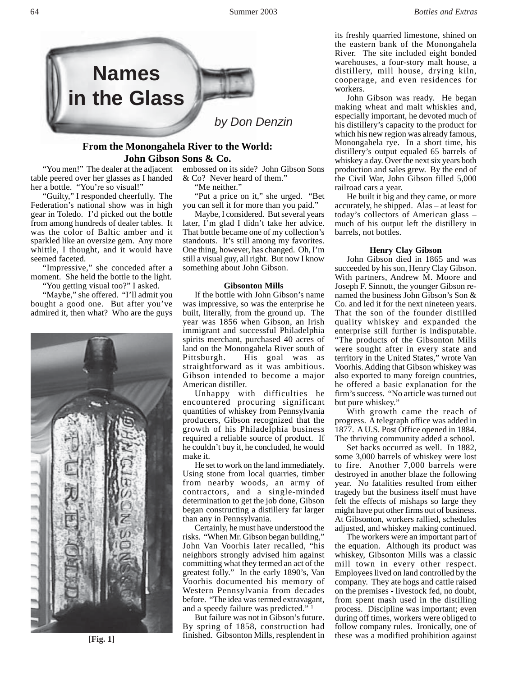

# **From the Monongahela River to the World: John Gibson Sons & Co.**

"You men!" The dealer at the adjacent table peered over her glasses as I handed her a bottle. "You're so visual!"

"Guilty," I responded cheerfully. The Federation's national show was in high gear in Toledo. I'd picked out the bottle from among hundreds of dealer tables. It was the color of Baltic amber and it sparkled like an oversize gem. Any more whittle, I thought, and it would have seemed faceted.

"Impressive," she conceded after a moment. She held the bottle to the light. "You getting visual too?" I asked.

"Maybe," she offered. "I'll admit you bought a good one. But after you've admired it, then what? Who are the guys



embossed on its side? John Gibson Sons & Co? Never heard of them."

"Me neither."

"Put a price on it," she urged. "Bet you can sell it for more than you paid."

Maybe, I considered. But several years later, I'm glad I didn't take her advice. That bottle became one of my collection's standouts. It's still among my favorites. One thing, however, has changed. Oh, I'm still a visual guy, all right. But now I know something about John Gibson.

#### **Gibsonton Mills**

If the bottle with John Gibson's name was impressive, so was the enterprise he built, literally, from the ground up. The year was 1856 when Gibson, an Irish immigrant and successful Philadelphia spirits merchant, purchased 40 acres of land on the Monongahela River south of Pittsburgh. His goal was as straightforward as it was ambitious. Gibson intended to become a major American distiller.

Unhappy with difficulties he encountered procuring significant quantities of whiskey from Pennsylvania producers, Gibson recognized that the growth of his Philadelphia business required a reliable source of product. If he couldn't buy it, he concluded, he would make it.

He set to work on the land immediately. Using stone from local quarries, timber from nearby woods, an army of contractors, and a single-minded determination to get the job done, Gibson began constructing a distillery far larger than any in Pennsylvania.

Certainly, he must have understood the risks. "When Mr. Gibson began building," John Van Voorhis later recalled, "his neighbors strongly advised him against committing what they termed an act of the greatest folly." In the early 1890's, Van Voorhis documented his memory of Western Pennsylvania from decades before. "The idea was termed extravagant, and a speedy failure was predicted."

But failure was not in Gibson's future. By spring of 1858, construction had finished. Gibsonton Mills, resplendent in **these was a modified prohibition against** finished. Gibsonton Mills, resplendent in these was a modified prohibition against

its freshly quarried limestone, shined on the eastern bank of the Monongahela River. The site included eight bonded warehouses, a four-story malt house, a distillery, mill house, drying kiln, cooperage, and even residences for workers.

John Gibson was ready. He began making wheat and malt whiskies and, especially important, he devoted much of his distillery's capacity to the product for which his new region was already famous, Monongahela rye. In a short time, his distillery's output equaled 65 barrels of whiskey a day. Over the next six years both production and sales grew. By the end of the Civil War, John Gibson filled 5,000 railroad cars a year.

He built it big and they came, or more accurately, he shipped. Alas – at least for today's collectors of American glass – much of his output left the distillery in barrels, not bottles.

#### **Henry Clay Gibson**

John Gibson died in 1865 and was succeeded by his son, Henry Clay Gibson. With partners, Andrew M. Moore and Joseph F. Sinnott, the younger Gibson renamed the business John Gibson's Son & Co. and led it for the next nineteen years. That the son of the founder distilled quality whiskey and expanded the enterprise still further is indisputable. "The products of the Gibsonton Mills were sought after in every state and territory in the United States," wrote Van Voorhis. Adding that Gibson whiskey was also exported to many foreign countries, he offered a basic explanation for the firm's success. "No article was turned out but pure whiskey."

With growth came the reach of progress. A telegraph office was added in 1877. A U.S. Post Office opened in 1884. The thriving community added a school.

Set backs occurred as well. In 1882, some 3,000 barrels of whiskey were lost to fire. Another 7,000 barrels were destroyed in another blaze the following year. No fatalities resulted from either tragedy but the business itself must have felt the effects of mishaps so large they might have put other firms out of business. At Gibsonton, workers rallied, schedules adjusted, and whiskey making continued.

The workers were an important part of the equation. Although its product was whiskey, Gibsonton Mills was a classic mill town in every other respect. Employees lived on land controlled by the company. They ate hogs and cattle raised on the premises - livestock fed, no doubt, from spent mash used in the distilling process. Discipline was important; even during off times, workers were obliged to follow company rules. Ironically, one of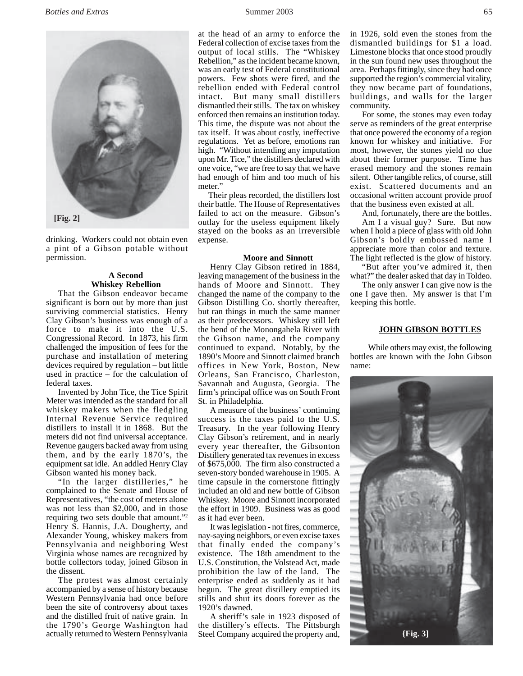

drinking. Workers could not obtain even a pint of a Gibson potable without permission.

### **A Second Whiskey Rebellion**

That the Gibson endeavor became significant is born out by more than just surviving commercial statistics. Henry Clay Gibson's business was enough of a force to make it into the U.S. Congressional Record. In 1873, his firm challenged the imposition of fees for the purchase and installation of metering devices required by regulation – but little used in practice – for the calculation of federal taxes.

Invented by John Tice, the Tice Spirit Meter was intended as the standard for all whiskey makers when the fledgling Internal Revenue Service required distillers to install it in 1868. But the meters did not find universal acceptance. Revenue gaugers backed away from using them, and by the early 1870's, the equipment sat idle. An addled Henry Clay Gibson wanted his money back.

"In the larger distilleries," he complained to the Senate and House of Representatives, "the cost of meters alone was not less than \$2,000, and in those requiring two sets double that amount."2 Henry S. Hannis, J.A. Dougherty, and Alexander Young, whiskey makers from Pennsylvania and neighboring West Virginia whose names are recognized by bottle collectors today, joined Gibson in the dissent.

The protest was almost certainly accompanied by a sense of history because Western Pennsylvania had once before been the site of controversy about taxes and the distilled fruit of native grain. In the 1790's George Washington had actually returned to Western Pennsylvania

at the head of an army to enforce the Federal collection of excise taxes from the output of local stills. The "Whiskey Rebellion," as the incident became known, was an early test of Federal constitutional powers. Few shots were fired, and the rebellion ended with Federal control intact. But many small distillers dismantled their stills. The tax on whiskey enforced then remains an institution today. This time, the dispute was not about the tax itself. It was about costly, ineffective regulations. Yet as before, emotions ran high. "Without intending any imputation upon Mr. Tice," the distillers declared with one voice, "we are free to say that we have had enough of him and too much of his meter."

Their pleas recorded, the distillers lost their battle. The House of Representatives failed to act on the measure. Gibson's outlay for the useless equipment likely stayed on the books as an irreversible expense.

#### **Moore and Sinnott**

Henry Clay Gibson retired in 1884, leaving management of the business in the hands of Moore and Sinnott. They changed the name of the company to the Gibson Distilling Co. shortly thereafter, but ran things in much the same manner as their predecessors. Whiskey still left the bend of the Monongahela River with the Gibson name, and the company continued to expand. Notably, by the 1890's Moore and Sinnott claimed branch offices in New York, Boston, New Orleans, San Francisco, Charleston, Savannah and Augusta, Georgia. The firm's principal office was on South Front St. in Philadelphia.

A measure of the business' continuing success is the taxes paid to the U.S. Treasury. In the year following Henry Clay Gibson's retirement, and in nearly every year thereafter, the Gibsonton Distillery generated tax revenues in excess of \$675,000. The firm also constructed a seven-story bonded warehouse in 1905. A time capsule in the cornerstone fittingly included an old and new bottle of Gibson Whiskey. Moore and Sinnott incorporated the effort in 1909. Business was as good as it had ever been.

It was legislation - not fires, commerce, nay-saying neighbors, or even excise taxes that finally ended the company's existence. The 18th amendment to the U.S. Constitution, the Volstead Act, made prohibition the law of the land. The enterprise ended as suddenly as it had begun. The great distillery emptied its stills and shut its doors forever as the 1920's dawned.

A sheriff's sale in 1923 disposed of the distillery's effects. The Pittsburgh Steel Company acquired the property and, in 1926, sold even the stones from the dismantled buildings for \$1 a load. Limestone blocks that once stood proudly in the sun found new uses throughout the area. Perhaps fittingly, since they had once supported the region's commercial vitality, they now became part of foundations, buildings, and walls for the larger community.

For some, the stones may even today serve as reminders of the great enterprise that once powered the economy of a region known for whiskey and initiative. For most, however, the stones yield no clue about their former purpose. Time has erased memory and the stones remain silent. Other tangible relics, of course, still exist. Scattered documents and an occasional written account provide proof that the business even existed at all.

And, fortunately, there are the bottles.

Am I a visual guy? Sure. But now when I hold a piece of glass with old John Gibson's boldly embossed name I appreciate more than color and texture. The light reflected is the glow of history.

"But after you've admired it, then what?" the dealer asked that day in Toldeo.

The only answer I can give now is the one I gave then. My answer is that I'm keeping this bottle.

#### **JOHN GIBSON BOTTLES**

While others may exist, the following bottles are known with the John Gibson name: